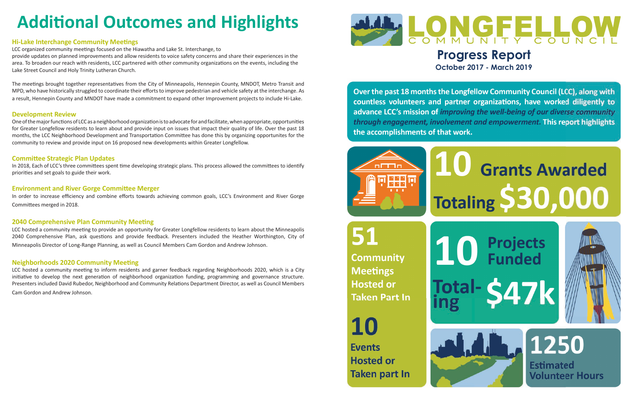

**October 2017 - March 2019**

Over the past 18 months the Longfellow Community Council (LCC), along with countless volunteers and partner organizations, have worked diligently to advance LCC's mission of improving the well-being of our diverse community through engagement, involvement and empowerment. This report highlights the accomplishments of that work.





**Community Meetings Hosted or Taken Part In** 





**Events Hosted or Taken part In** 



# **Grants Awarded Totaling \$30,000**



1250 **Estimated Volunteer Hours** 

## **Additional Outcomes and Highlights**

#### **Hi-Lake Interchange Community Meetings**

LCC organized community meetings focused on the Hiawatha and Lake St. Interchange, to

provide updates on planned improvements and allow residents to voice safety concerns and share their experiences in the area. To broaden our reach with residents, LCC partnered with other community organizations on the events, including the Lake Street Council and Holy Trinity Lutheran Church.

The meetings brought together representatives from the City of Minneapolis, Hennepin County, MNDOT, Metro Transit and MPD, who have historically struggled to coordinate their efforts to improve pedestrian and vehicle safety at the interchange. As a result, Hennepin County and MNDOT have made a commitment to expand other Improvement projects to include Hi-Lake.

#### **Development Review**

One of the major functions of LCC as a neighborhood organization is to advocate for and facilitate, when appropriate, opportunities for Greater Longfellow residents to learn about and provide input on issues that impact their quality of life. Over the past 18 months, the LCC Neighborhood Development and Transportation Committee has done this by organizing opportunites for the community to review and provide input on 16 proposed new developments within Greater Longfellow.

#### **Committee Strategic Plan Updates**

In 2018, Each of LCC's three committees spent time developing strategic plans. This process allowed the committees to identify priorities and set goals to guide their work.

#### **Environment and River Gorge Committee Merger**

In order to increase efficiency and combine efforts towards achieving common goals, LCC's Environment and River Gorge Committees merged in 2018.

#### **2040 Comprehensive Plan Community Meeting**

LCC hosted a community meeting to provide an opportunity for Greater Longfellow residents to learn about the Minneapolis 2040 Comprehensive Plan, ask questions and provide feedback. Presenters included the Heather Worthington, City of Minneapolis Director of Long-Range Planning, as well as Council Members Cam Gordon and Andrew Johnson.

### **Neighborhoods 2020 Community Meeting**

LCC hosted a community meeting to inform residents and garner feedback regarding Neighborhoods 2020, which is a City initiative to develop the next generation of neighborhood organization funding, programming and governance structure. Presenters included David Rubedor, Neighborhood and Community Relations Department Director, as well as Council Members

Cam Gordon and Andrew Johnson.